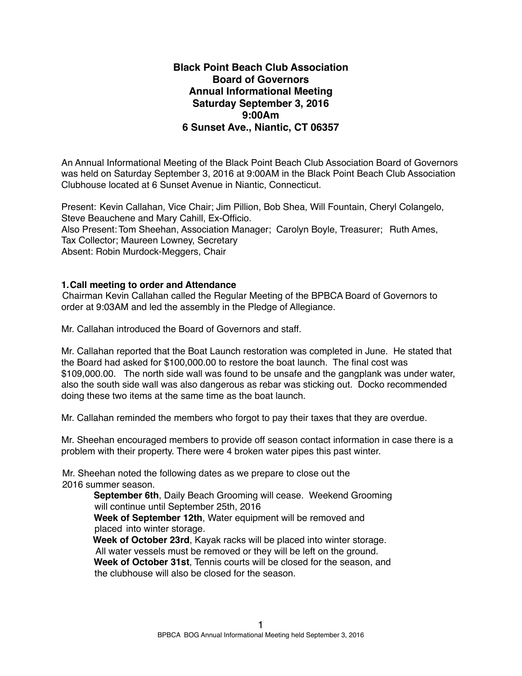## **Black Point Beach Club Association Board of Governors Annual Informational Meeting Saturday September 3, 2016 9:00Am 6 Sunset Ave., Niantic, CT 06357**

An Annual Informational Meeting of the Black Point Beach Club Association Board of Governors was held on Saturday September 3, 2016 at 9:00AM in the Black Point Beach Club Association Clubhouse located at 6 Sunset Avenue in Niantic, Connecticut.

Present: Kevin Callahan, Vice Chair; Jim Pillion, Bob Shea, Will Fountain, Cheryl Colangelo, Steve Beauchene and Mary Cahill, Ex-Officio. Also Present: Tom Sheehan, Association Manager; Carolyn Boyle, Treasurer; Ruth Ames, Tax Collector; Maureen Lowney, Secretary Absent: Robin Murdock-Meggers, Chair

## **1.Call meeting to order and Attendance**

Chairman Kevin Callahan called the Regular Meeting of the BPBCA Board of Governors to order at 9:03AM and led the assembly in the Pledge of Allegiance.

Mr. Callahan introduced the Board of Governors and staff.

Mr. Callahan reported that the Boat Launch restoration was completed in June. He stated that the Board had asked for \$100,000.00 to restore the boat launch. The final cost was \$109,000.00. The north side wall was found to be unsafe and the gangplank was under water, also the south side wall was also dangerous as rebar was sticking out. Docko recommended doing these two items at the same time as the boat launch.

Mr. Callahan reminded the members who forgot to pay their taxes that they are overdue.

Mr. Sheehan encouraged members to provide off season contact information in case there is a problem with their property. There were 4 broken water pipes this past winter.

Mr. Sheehan noted the following dates as we prepare to close out the 2016 summer season.

> **September 6th**, Daily Beach Grooming will cease. Weekend Grooming will continue until September 25th, 2016

**Week of September 12th**, Water equipment will be removed and placed into winter storage.

**Week of October 23rd**, Kayak racks will be placed into winter storage. All water vessels must be removed or they will be left on the ground. **Week of October 31st**, Tennis courts will be closed for the season, and the clubhouse will also be closed for the season.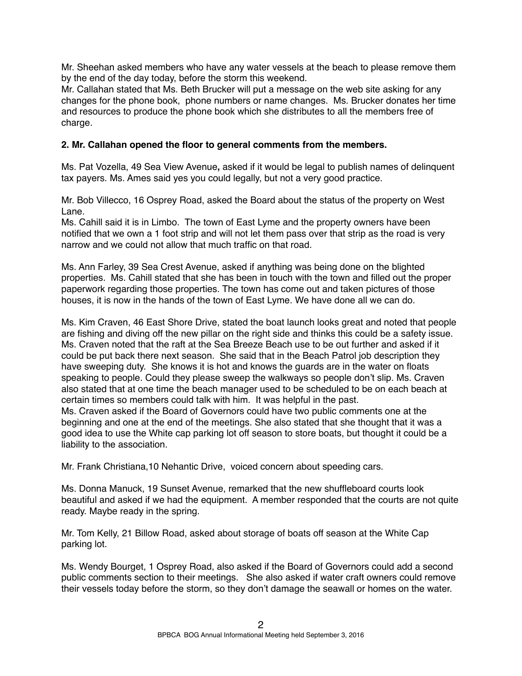Mr. Sheehan asked members who have any water vessels at the beach to please remove them by the end of the day today, before the storm this weekend.

Mr. Callahan stated that Ms. Beth Brucker will put a message on the web site asking for any changes for the phone book, phone numbers or name changes. Ms. Brucker donates her time and resources to produce the phone book which she distributes to all the members free of charge.

## **2. Mr. Callahan opened the floor to general comments from the members.**

Ms. Pat Vozella, 49 Sea View Avenue**,** asked if it would be legal to publish names of delinquent tax payers. Ms. Ames said yes you could legally, but not a very good practice.

Mr. Bob Villecco, 16 Osprey Road, asked the Board about the status of the property on West Lane.

Ms. Cahill said it is in Limbo. The town of East Lyme and the property owners have been notified that we own a 1 foot strip and will not let them pass over that strip as the road is very narrow and we could not allow that much traffic on that road.

Ms. Ann Farley, 39 Sea Crest Avenue, asked if anything was being done on the blighted properties. Ms. Cahill stated that she has been in touch with the town and filled out the proper paperwork regarding those properties. The town has come out and taken pictures of those houses, it is now in the hands of the town of East Lyme. We have done all we can do.

Ms. Kim Craven, 46 East Shore Drive, stated the boat launch looks great and noted that people are fishing and diving off the new pillar on the right side and thinks this could be a safety issue. Ms. Craven noted that the raft at the Sea Breeze Beach use to be out further and asked if it could be put back there next season. She said that in the Beach Patrol job description they have sweeping duty. She knows it is hot and knows the guards are in the water on floats speaking to people. Could they please sweep the walkways so people don't slip. Ms. Craven also stated that at one time the beach manager used to be scheduled to be on each beach at certain times so members could talk with him. It was helpful in the past. Ms. Craven asked if the Board of Governors could have two public comments one at the beginning and one at the end of the meetings. She also stated that she thought that it was a good idea to use the White cap parking lot off season to store boats, but thought it could be a

Mr. Frank Christiana,10 Nehantic Drive, voiced concern about speeding cars.

liability to the association.

Ms. Donna Manuck, 19 Sunset Avenue, remarked that the new shuffleboard courts look beautiful and asked if we had the equipment. A member responded that the courts are not quite ready. Maybe ready in the spring.

Mr. Tom Kelly, 21 Billow Road, asked about storage of boats off season at the White Cap parking lot.

Ms. Wendy Bourget, 1 Osprey Road, also asked if the Board of Governors could add a second public comments section to their meetings. She also asked if water craft owners could remove their vessels today before the storm, so they don't damage the seawall or homes on the water.